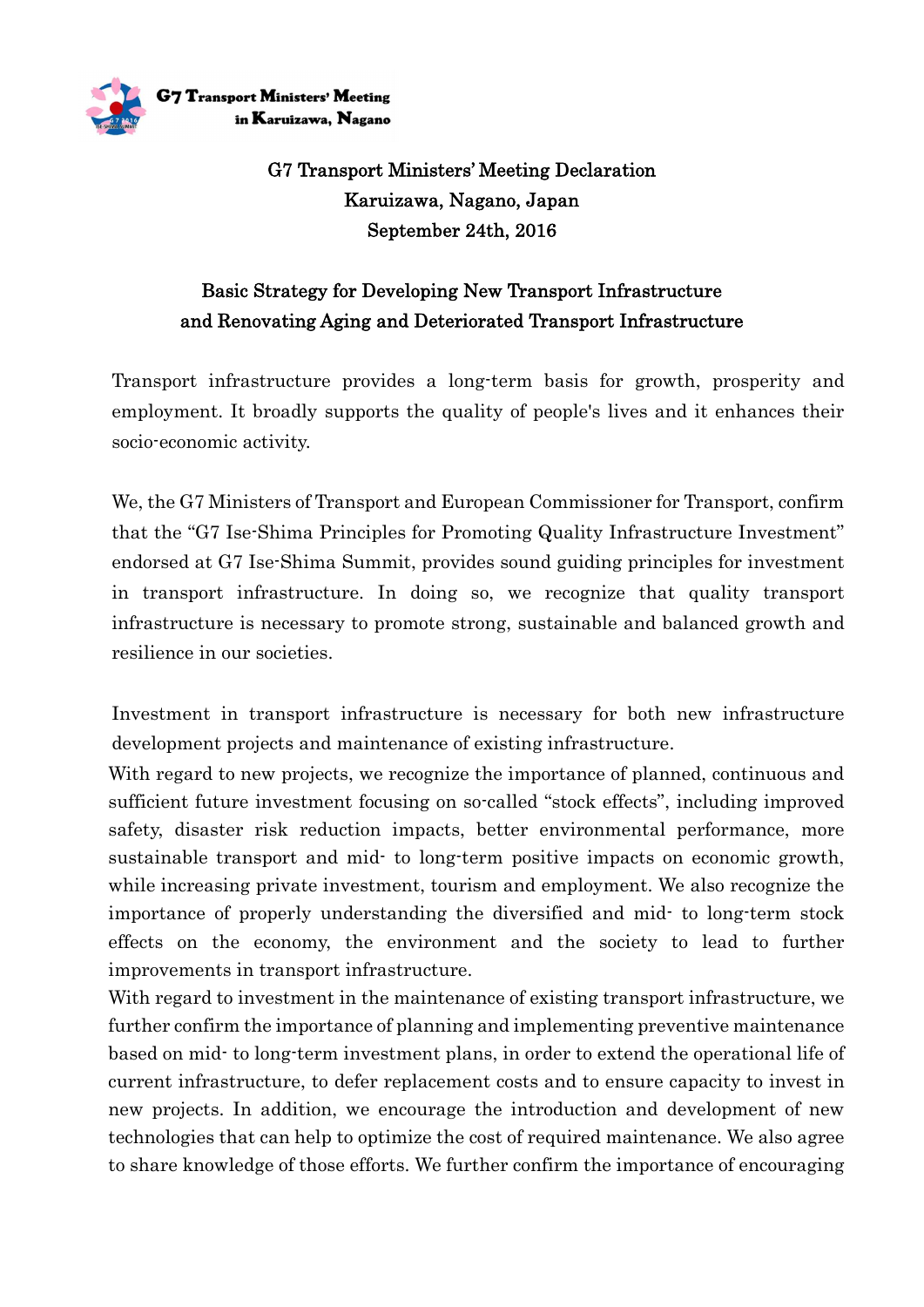

 $G7$   $\bf{T}_{ransport}$  Ministers' Meeting in Karuizawa, Nagano

## G7 Transport Ministers' Meeting Declaration Karuizawa, Nagano, Japan September 24th, 2016

## Basic Strategy for Developing New Transport Infrastructure and Renovating Aging and Deteriorated Transport Infrastructure

Transport infrastructure provides a long-term basis for growth, prosperity and employment. It broadly supports the quality of people's lives and it enhances their socio-economic activity.

We, the G7 Ministers of Transport and European Commissioner for Transport, confirm that the "G7 Ise-Shima Principles for Promoting Quality Infrastructure Investment" endorsed at G7 Ise-Shima Summit, provides sound guiding principles for investment in transport infrastructure. In doing so, we recognize that quality transport infrastructure is necessary to promote strong, sustainable and balanced growth and resilience in our societies.

Investment in transport infrastructure is necessary for both new infrastructure development projects and maintenance of existing infrastructure.

With regard to new projects, we recognize the importance of planned, continuous and sufficient future investment focusing on so-called "stock effects", including improved safety, disaster risk reduction impacts, better environmental performance, more sustainable transport and mid- to long-term positive impacts on economic growth, while increasing private investment, tourism and employment. We also recognize the importance of properly understanding the diversified and mid- to long-term stock effects on the economy, the environment and the society to lead to further improvements in transport infrastructure.

With regard to investment in the maintenance of existing transport infrastructure, we further confirm the importance of planning and implementing preventive maintenance based on mid- to long-term investment plans, in order to extend the operational life of current infrastructure, to defer replacement costs and to ensure capacity to invest in new projects. In addition, we encourage the introduction and development of new technologies that can help to optimize the cost of required maintenance. We also agree to share knowledge of those efforts. We further confirm the importance of encouraging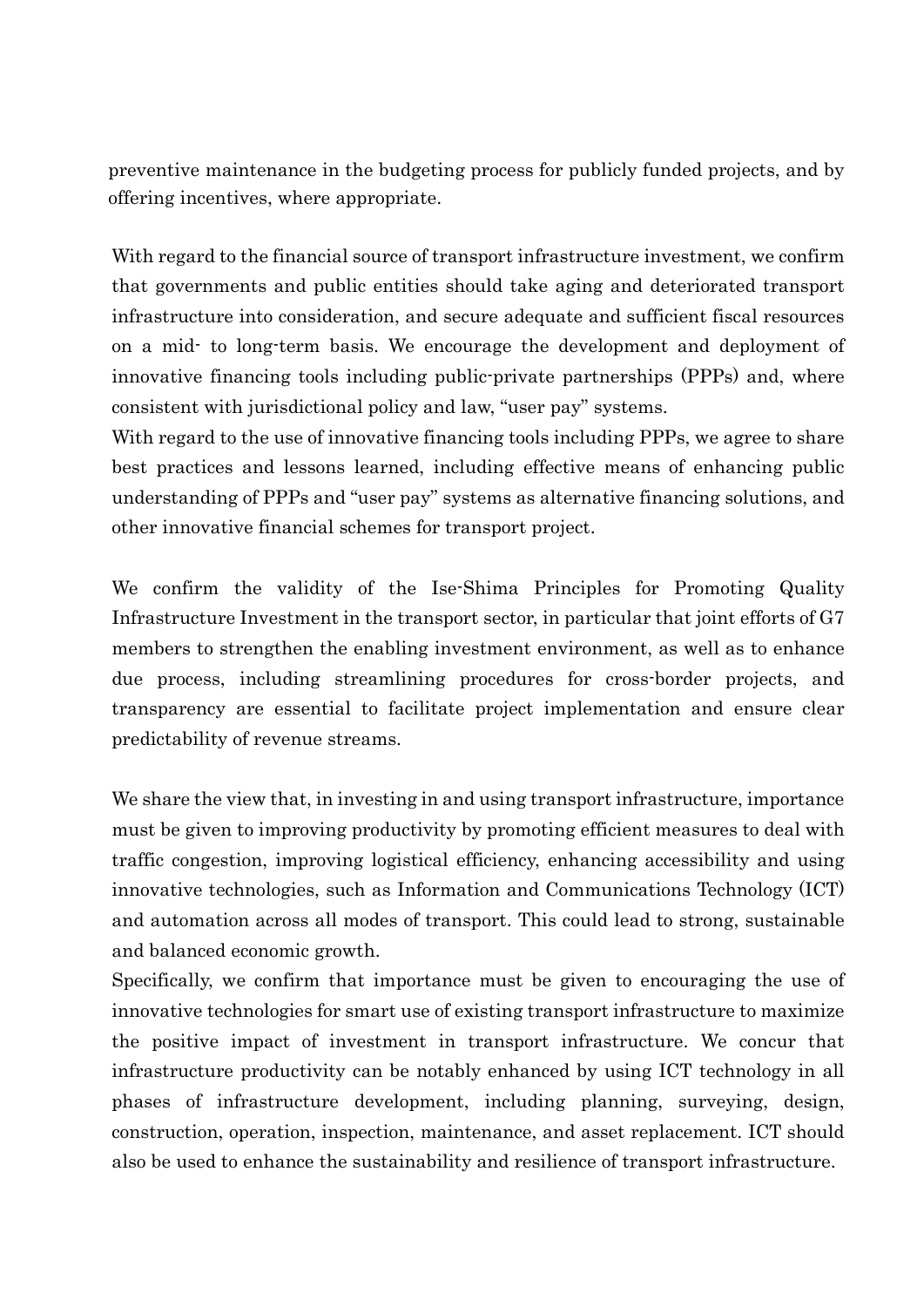preventive maintenance in the budgeting process for publicly funded projects, and by offering incentives, where appropriate.

With regard to the financial source of transport infrastructure investment, we confirm that governments and public entities should take aging and deteriorated transport infrastructure into consideration, and secure adequate and sufficient fiscal resources on a mid- to long-term basis. We encourage the development and deployment of innovative financing tools including public-private partnerships (PPPs) and, where consistent with jurisdictional policy and law, "user pay" systems.

With regard to the use of innovative financing tools including PPPs, we agree to share best practices and lessons learned, including effective means of enhancing public understanding of PPPs and "user pay" systems as alternative financing solutions, and other innovative financial schemes for transport project.

We confirm the validity of the Ise-Shima Principles for Promoting Quality Infrastructure Investment in the transport sector, in particular that joint efforts of G7 members to strengthen the enabling investment environment, as well as to enhance due process, including streamlining procedures for cross-border projects, and transparency are essential to facilitate project implementation and ensure clear predictability of revenue streams.

We share the view that, in investing in and using transport infrastructure, importance must be given to improving productivity by promoting efficient measures to deal with traffic congestion, improving logistical efficiency, enhancing accessibility and using innovative technologies, such as Information and Communications Technology (ICT) and automation across all modes of transport. This could lead to strong, sustainable and balanced economic growth.

Specifically, we confirm that importance must be given to encouraging the use of innovative technologies for smart use of existing transport infrastructure to maximize the positive impact of investment in transport infrastructure. We concur that infrastructure productivity can be notably enhanced by using ICT technology in all phases of infrastructure development, including planning, surveying, design, construction, operation, inspection, maintenance, and asset replacement. ICT should also be used to enhance the sustainability and resilience of transport infrastructure.